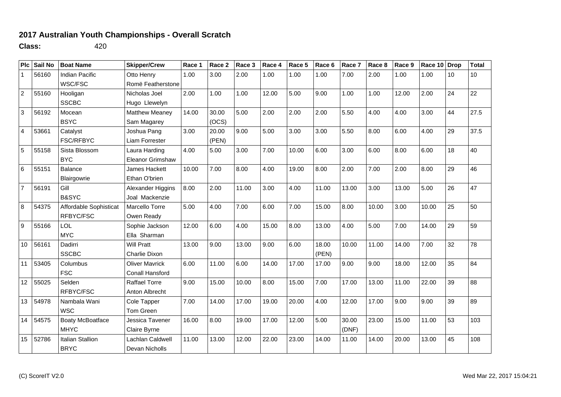## **2017 Australian Youth Championships - Overall Scratch**

**Class:** 420

| PIc             | Sail No | <b>Boat Name</b>        | <b>Skipper/Crew</b>     | Race 1 | Race 2 | Race 3 | Race 4 | Race 5 | Race 6 | Race 7 | Race 8 | Race 9 | Race 10 | <b>Drop</b> | <b>Total</b> |
|-----------------|---------|-------------------------|-------------------------|--------|--------|--------|--------|--------|--------|--------|--------|--------|---------|-------------|--------------|
| 1               | 56160   | <b>Indian Pacific</b>   | Otto Henry              | 1.00   | 3.00   | 2.00   | 1.00   | 1.00   | 1.00   | 7.00   | 2.00   | 1.00   | 1.00    | 10          | 10           |
|                 |         | WSC/FSC                 | Romë Featherstone       |        |        |        |        |        |        |        |        |        |         |             |              |
| $\overline{2}$  | 55160   | Hooligan                | Nicholas Joel           | 2.00   | 1.00   | 1.00   | 12.00  | 5.00   | 9.00   | 1.00   | 1.00   | 12.00  | 2.00    | 24          | 22           |
|                 |         | <b>SSCBC</b>            | Hugo Llewelyn           |        |        |        |        |        |        |        |        |        |         |             |              |
| 3               | 56192   | Mocean                  | <b>Matthew Meaney</b>   | 14.00  | 30.00  | 5.00   | 2.00   | 2.00   | 2.00   | 5.50   | 4.00   | 4.00   | 3.00    | 44          | 27.5         |
|                 |         | <b>BSYC</b>             | Sam Magarey             |        | (OCS)  |        |        |        |        |        |        |        |         |             |              |
| 4               | 53661   | Catalyst                | Joshua Pang             | 3.00   | 20.00  | 9.00   | 5.00   | 3.00   | 3.00   | 5.50   | 8.00   | 6.00   | 4.00    | 29          | 37.5         |
|                 |         | <b>FSC/RFBYC</b>        | Liam Forrester          |        | (PEN)  |        |        |        |        |        |        |        |         |             |              |
| 5               | 55158   | Sista Blossom           | Laura Harding           | 4.00   | 5.00   | 3.00   | 7.00   | 10.00  | 6.00   | 3.00   | 6.00   | 8.00   | 6.00    | 18          | 40           |
|                 |         | <b>BYC</b>              | <b>Eleanor Grimshaw</b> |        |        |        |        |        |        |        |        |        |         |             |              |
| $6\phantom{1}6$ | 55151   | <b>Balance</b>          | James Hackett           | 10.00  | 7.00   | 8.00   | 4.00   | 19.00  | 8.00   | 2.00   | 7.00   | 2.00   | 8.00    | 29          | 46           |
|                 |         | Blairgowrie             | Ethan O'brien           |        |        |        |        |        |        |        |        |        |         |             |              |
| $\overline{7}$  | 56191   | Gill                    | Alexander Higgins       | 8.00   | 2.00   | 11.00  | 3.00   | 4.00   | 11.00  | 13.00  | 3.00   | 13.00  | 5.00    | 26          | 47           |
|                 |         | B&SYC                   | Joal Mackenzie          |        |        |        |        |        |        |        |        |        |         |             |              |
| 8               | 54375   | Affordable Sophisticat  | Marcello Torre          | 5.00   | 4.00   | 7.00   | 6.00   | 7.00   | 15.00  | 8.00   | 10.00  | 3.00   | 10.00   | 25          | 50           |
|                 |         | RFBYC/FSC               | Owen Ready              |        |        |        |        |        |        |        |        |        |         |             |              |
| 9               | 55166   | LOL                     | Sophie Jackson          | 12.00  | 6.00   | 4.00   | 15.00  | 8.00   | 13.00  | 4.00   | 5.00   | 7.00   | 14.00   | 29          | 59           |
|                 |         | <b>MYC</b>              | Ella Sharman            |        |        |        |        |        |        |        |        |        |         |             |              |
| 10              | 56161   | Dadirri                 | <b>Will Pratt</b>       | 13.00  | 9.00   | 13.00  | 9.00   | 6.00   | 18.00  | 10.00  | 11.00  | 14.00  | 7.00    | 32          | 78           |
|                 |         | <b>SSCBC</b>            | Charlie Dixon           |        |        |        |        |        | (PEN)  |        |        |        |         |             |              |
| 11              | 53405   | Columbus                | <b>Oliver Mavrick</b>   | 6.00   | 11.00  | 6.00   | 14.00  | 17.00  | 17.00  | 9.00   | 9.00   | 18.00  | 12.00   | 35          | 84           |
|                 |         | <b>FSC</b>              | Conall Hansford         |        |        |        |        |        |        |        |        |        |         |             |              |
| 12              | 55025   | Selden                  | <b>Raffael Torre</b>    | 9.00   | 15.00  | 10.00  | 8.00   | 15.00  | 7.00   | 17.00  | 13.00  | 11.00  | 22.00   | 39          | 88           |
|                 |         | RFBYC/FSC               | Anton Albrecht          |        |        |        |        |        |        |        |        |        |         |             |              |
| 13              | 54978   | Nambala Wani            | Cole Tapper             | 7.00   | 14.00  | 17.00  | 19.00  | 20.00  | 4.00   | 12.00  | 17.00  | 9.00   | 9.00    | 39          | 89           |
|                 |         | <b>WSC</b>              | Tom Green               |        |        |        |        |        |        |        |        |        |         |             |              |
| 14              | 54575   | <b>Boaty McBoatface</b> | Jessica Tavener         | 16.00  | 8.00   | 19.00  | 17.00  | 12.00  | 5.00   | 30.00  | 23.00  | 15.00  | 11.00   | 53          | 103          |
|                 |         | <b>MHYC</b>             | Claire Byrne            |        |        |        |        |        |        | (DNF)  |        |        |         |             |              |
| 15              | 52786   | <b>Italian Stallion</b> | Lachlan Caldwell        | 11.00  | 13.00  | 12.00  | 22.00  | 23.00  | 14.00  | 11.00  | 14.00  | 20.00  | 13.00   | 45          | 108          |
|                 |         | <b>BRYC</b>             | Devan Nicholls          |        |        |        |        |        |        |        |        |        |         |             |              |